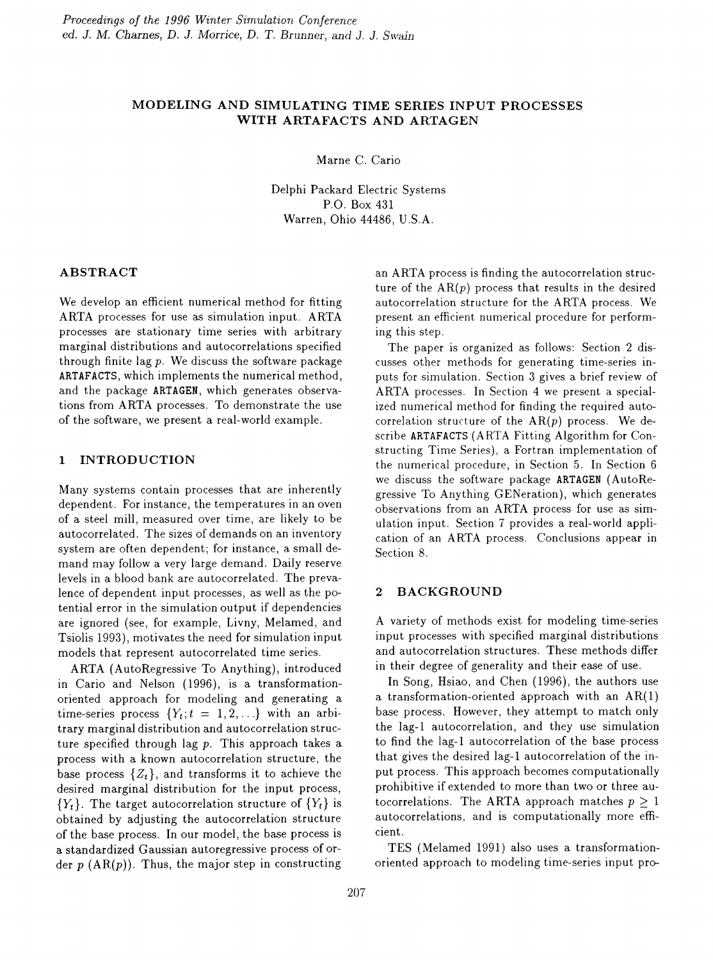# MODELING AND SIMULATING TIME SERIES INPUT PROCESSES WITH ARTAFACTS AND ARTAGEN

Marne C. Cario

Delphi Packard Electric Systems P.O. Box 431 Warren, Ohio 44486, U.S.A.

### ABSTRACT

We develop an efficient numerical method for fitting ARTA processes for use as simulation input. ARTA processes are stationary time series with arbitrary marginal distributions and autocorrelations specified through finite lag  $p$ . We discuss the software package ARTAFACTS, which implements the numerical method, and the package ARTAGEN, which generates observations from ARTA processes. To demonstrate the use of the software, we present a real-world example.

## 1 INTRODUCTION

Many systems contain processes that are inherently dependent. For instance, the temperatures in an oven of a steel mill, measured over time, are likely to be autocorrelated. The sizes of demands on an inventory system are often dependent; for instance, a small demand may follow a very large demand. Daily reserve levels in a blood bank are autocorrelated. The prevalence of dependent input processes, as well as the potential error in the simulation output if dependencies are ignored (see, for example, Livny, Melamed, and Tsiolis 1993), motivates the need for simulation input models that represent autocorrelated time series.

ARTA (AutoRegressive To Anything), introduced in Cario and Nelson (1996), is a transformationoriented approach for modeling and generating a time-series process  $\{Y_t; t = 1, 2, \ldots\}$  with an arbitrary marginal distribution and autocorrelation structure specified through lag  $p$ . This approach takes a process with a known autocorrelation structure, the base process  $\{Z_t\}$ , and transforms it to achieve the desired marginal distribution for the input process,  ${Y_t}$ . The target autocorrelation structure of  ${Y_t}$  is obtained by adjusting the autocorrelation structure of the base process. In our model, the base process is a standardized Gaussian autoregressive process of order  $p$  (AR $(p)$ ). Thus, the major step in constructing an ARTA process is finding the autocorrelation structure of the  $AR(p)$  process that results in the desired autocorrelation structure for the ARTA process. We present an efficient numerical procedure for performing this step.

The paper is organized as follows: Section 2 discusses other methods for generating time-series inputs for simulation. Section 3 gives a brief review of ARTA processes. In Section 4 we present a specialized numerical method for finding the required autocorrelation structure of the  $AR(p)$  process. We describe ARTAFACTS (ARTA Fitting Algorithm for Constructing Time Series), a Fortran implementation of the numerical procedure, in Section 5. In Section 6 we discuss the software package ARTAGEN (AutoRegressive To Anything GENeration), which generates observations from an ARTA process for use as simulation input. Section 7 provides a real-world application of an ARTA process. Conclusions appear in Section 8.

### 2 BACKGROUND

A variety of methods exist for modeling time-series input processes with specified marginal distributions and autocorrelation structures. These methods differ in their degree of generality and their ease of use.

In Song, Hsiao, and Chen (1996), the authors use a transformation-oriented approach with an  $AR(1)$ base process. However, they attempt to match only the lag-1 autocorrelation, and they use simulation to find the lag-1 autocorrelation of the base process that gives the desired lag-1 autocorrelation of the input process. This approach becomes computationally prohibitive if extended to more than two or three autocorrelations. The ARTA approach matches  $p \geq 1$ autocorrelations, and is computationally more efficient.

TES (Melamed 1991) also uses a transformationoriented approach to modeling time-series input pro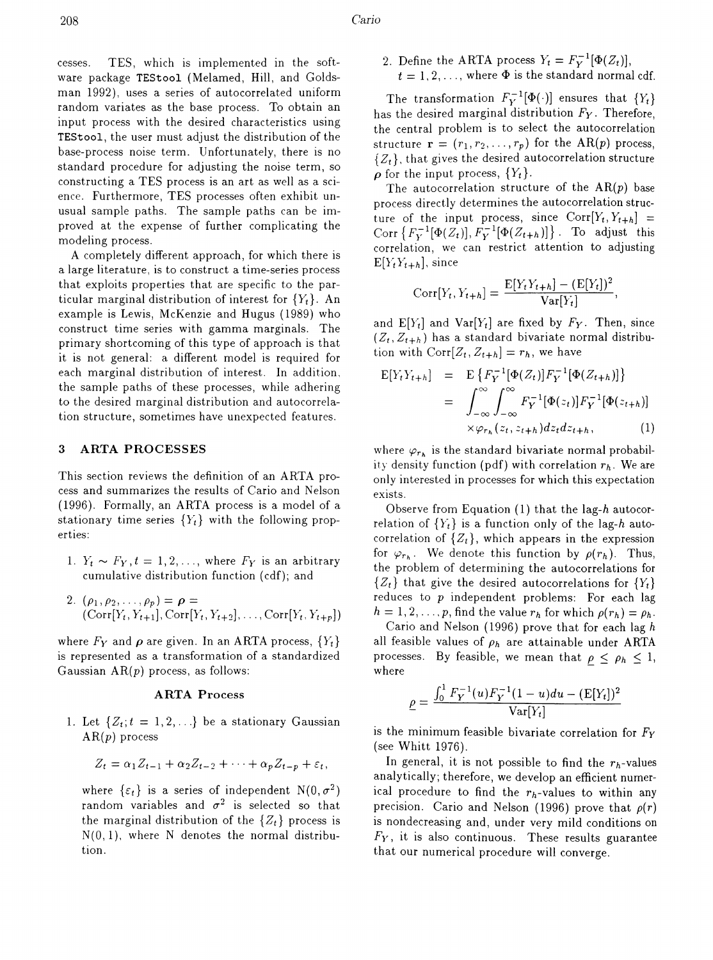cesses. TES, which is implemented in the soft ware package TEStool (Melamed, Hill, and Goldsman 1992), uses a series of autocorrelated uniform random variates as the base process. To obtain an input process with the desired characteristics using TEStool, the user must adjust the distribution of the base-process noise term. Unfortunately, there is no standard procedure for adjusting the noise term, so constructing a TES process is an art as well as a science. Furthermore, TES processes often exhibit unusual sample paths. The sample paths can be improved at the expense of further complicating the modeling process.

A completely different approach, for which there is a large literature, is to construct a time-series process that exploits properties that are specific to the particular marginal distribution of interest for  ${Y_t}$ . An example is Lewis, McKenzie and Hugus (1989) who construct time series with gamma marginals. The primary shortcoming of this type of approach is that it is not general: a different model is required for each marginal distribution of interest. In addition, the sample paths of these processes, while adhering to the desired marginal distribution and autocorrelation structure, sometimes have unexpected features.

### 3 ARTA PROCESSES

This section reviews the definition of an ARTA process and summarizes the results of Cario and Nelson (1996). Formally, an ARTA process is a model of a stationary time series  ${Y_t}$  with the following properties:

- 1.  $Y_t \sim F_Y$ ,  $t = 1, 2, \ldots$ , where  $F_Y$  is an arbitrary cumulative distribution function (cdf); and
- *2.*  $(\rho_1, \rho_2, \ldots, \rho_p) = \rho =$  $(Corr[Y_t, Y_{t+1}], Corr[Y_t, Y_{t+2}], \ldots, Corr[Y_t, Y_{t+n}])$

where  $F_Y$  and  $\rho$  are given. In an ARTA process,  $\{Y_t\}$ is represented as a transformation of a standardized Gaussian  $AR(p)$  process, as follows:

#### ARTA Process

1. Let  $\{Z_t; t = 1, 2, \ldots\}$  be a stationary Gaussian AR(p) process

$$
Z_t = \alpha_1 Z_{t-1} + \alpha_2 Z_{t-2} + \cdots + \alpha_p Z_{t-p} + \varepsilon_t,
$$

where  $\{\varepsilon_t\}$  is a series of independent  $N(0, \sigma^2)$ random variables and  $\sigma^2$  is selected so that the marginal distribution of the  $\{Z_t\}$  process is  $N(0,1)$ , where N denotes the normal distribution.

2. Define the ARTA process  $Y_t = F_Y^{-1}[\Phi(Z_t)],$  $t = 1, 2, \ldots$ , where  $\Phi$  is the standard normal cdf.

The transformation  $F_Y^{-1}[\Phi(\cdot)]$  ensures that  $\{Y_t\}$ has the desired marginal distribution *Fy.* Therefore, the central problem is to select the autocorrelation structure  $\mathbf{r} = (r_1, r_2, \ldots, r_p)$  for the AR(p) process, *{Zt},* that gives the desired autocorrelation structure  $\rho$  for the input process,  $\{Y_t\}$ .

The autocorrelation structure of the  $AR(p)$  base process directly determines the autocorrelation structure of the input process, since  $Corr[Y_t, Y_{t+h}] =$ Corr  $\{F_Y^{-1}[\Phi(Z_t)], F_Y^{-1}[\Phi(Z_{t+h})]\}$ . To adjust this correlation, we can restrict attention to adjusting  $E[Y_t Y_{t+h}]$ , since

$$
Corr[Y_t, Y_{t+h}] = \frac{E[Y_t Y_{t+h}] - (E[Y_t])^2}{Var[Y_t]},
$$

and  $E[Y_t]$  and  $Var[Y_t]$  are fixed by  $F_Y$ . Then, since  $(Z_t, Z_{t+h})$  has a standard bivariate normal distribution with  $Corr[Z_t, Z_{t+h}] = r_h$ , we have

$$
E[Y_t Y_{t+h}] = E\{F_Y^{-1}[\Phi(Z_t)]F_Y^{-1}[\Phi(Z_{t+h})]\}
$$
  

$$
= \int_{-\infty}^{\infty} \int_{-\infty}^{\infty} F_Y^{-1}[\Phi(z_t)]F_Y^{-1}[\Phi(z_{t+h})]
$$
  

$$
\times \varphi_{r_h}(z_t, z_{t+h})dz_t dz_{t+h}, \qquad (1)
$$

where  $\varphi_{r_h}$  is the standard bivariate normal probability density function (pdf) with correlation  $r_h$ . We are only interested in processes for which this expectation exists.

Observe from Equation (1) that the lag-h autocorrelation of  ${Y_t}$  is a function only of the lag-h autocorrelation of  $\{Z_t\}$ , which appears in the expression for  $\varphi_{r_h}$ . We denote this function by  $\rho(r_h)$ . Thus, the problem of determining the autocorrelations for  ${Z_t}$  that give the desired autocorrelations for  ${Y_t}$ reduces to *p* independent problems: For each lag  $h = 1, 2, \ldots, p$ , find the value  $r_h$  for which  $\rho(r_h) = \rho_h$ .

Cario and Nelson (1996) prove that for each lag *h* all feasible values of  $\rho_h$  are attainable under ARTA processes. By feasible, we mean that  $\rho \leq \rho_h \leq 1$ , where

$$
\rho = \frac{\int_0^1 F_Y^{-1}(u) F_Y^{-1}(1-u) du - (\mathbb{E}[Y_t])^2}{\text{Var}[Y_t]}
$$

is the minimum feasible bivariate correlation for *Fy* (see Whitt 1976).

In general, it is not possible to find the  $r_h$ -values analytically; therefore, we develop an efficient numerical procedure to find the  $r_h$ -values to within any precision. Cario and Nelson (1996) prove that *p(r)* is nondecreasing and, under very mild conditions on  $F_Y$ , it is also continuous. These results guarantee that our numerical procedure will converge.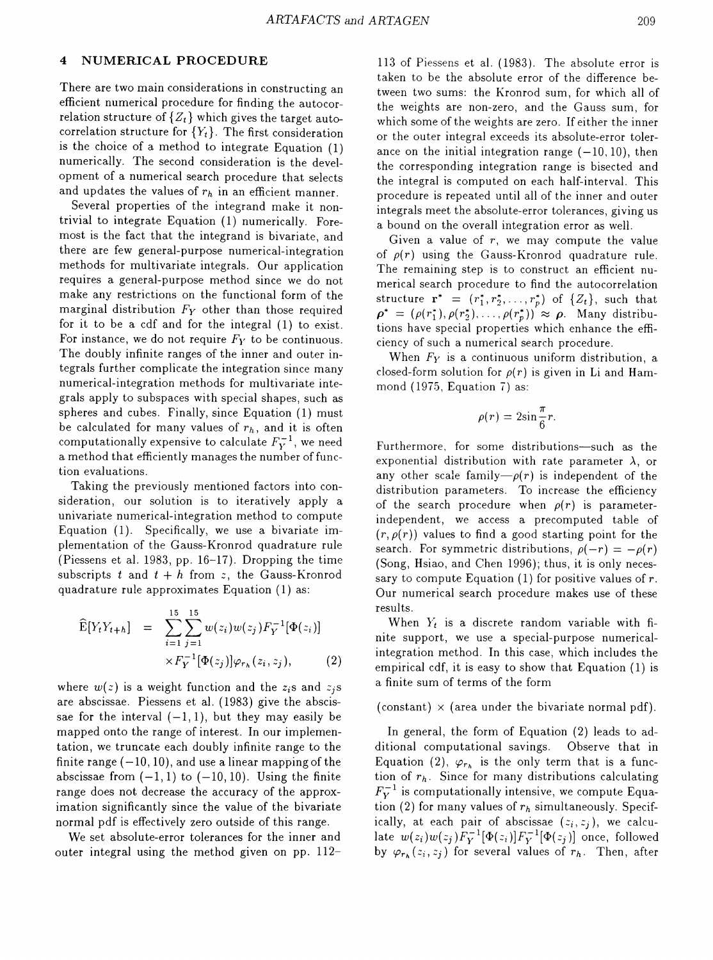### 4 NUMERICAL PROCEDURE

There are two main considerations in constructing an efficient numerical procedure for finding the autocorrelation structure of  $\{Z_t\}$  which gives the target autocorrelation structure for  ${Y_t}$ . The first consideration is the choice of a method to integrate Equation (1) numerically. The second consideration is the development of a numerical search procedure that selects and updates the values of  $r_h$  in an efficient manner.

Several properties of the integrand make it nontrivial to integrate Equation (1) numerically. Foremost is the fact that the integrand is bivariate, and there are few general-purpose numerical-integration methods for multivariate integrals. Our application requires a general-purpose method since we do not make any restrictions on the functional form of the marginal distribution *Fy* other than those required for it to be a cdf and for the integral (1) to exist. For instance, we do not require *Fy* to be continuous. The doubly infinite ranges of the inner and outer integrals further complicate the integration since many numerical-integration methods for multivariate integrals apply to subspaces with special shapes, such as spheres and cubes. Finally, since Equation (1) must be calculated for many values of  $r_h$ , and it is often computationally expensive to calculate  $F_Y^{-1}$ , we need a method that efficiently manages the number of function evaluations.

Taking the previously mentioned factors into consideration, our solution is to iteratively apply a univariate numerical-integration method to compute Equation (1). Specifically, we use a bivariate implementation of the Gauss-Kronrod quadrature rule (Piessens et al. 1983, pp. 16-17). Dropping the time subscripts  $t$  and  $t + h$  from  $z$ , the Gauss-Kronrod quadrature rule approximates Equation (1) as:

$$
\widehat{\mathbf{E}}[Y_t Y_{t+h}] = \sum_{i=1}^{15} \sum_{j=1}^{15} w(z_i) w(z_j) F_Y^{-1}[\Phi(z_i)]
$$
  
 
$$
\times F_Y^{-1}[\Phi(z_j)] \varphi_{r_h}(z_i, z_j), \qquad (2)
$$

where  $w(z)$  is a weight function and the  $z_i$ s and  $z_i$ s are abscissae. Piessens et al. (1983) give the abscissae for the interval  $(-1, 1)$ , but they may easily be mapped onto the range of interest. In our implementation, we truncate each doubly infinite range to the finite range  $(-10,10)$ , and use a linear mapping of the abscissae from  $(-1, 1)$  to  $(-10, 10)$ . Using the finite range does not decrease the accuracy of the approximation significantly since the value of the bivariate normal pdf is effectively zero outside of this range.

We set absolute-error tolerances for the inner and outer integral using the method given on pp. 112113 of Piessens et al. (1983). The absolute error is taken to be the absolute error of the difference between two sums: the Kronrod sum, for which all of the weights are non-zero, and the Gauss sum, for which some of the weights are zero. If either the inner or the outer integral exceeds its absolute-error tolerance on the initial integration range  $(-10, 10)$ , then the corresponding integration range is bisected and the integral is computed on each half-interval. This procedure is repeated until all of the inner and outer integrals meet the absolute-error tolerances, giving us a bound on the overall integration error as well.

Given a value of  $r$ , we may compute the value of  $\rho(r)$  using the Gauss-Kronrod quadrature rule. The remaining step is to construct an efficient numerical search procedure to find the autocorrelation structure  $\mathbf{r}^* = (r_1^*, r_2^*, \ldots, r_p^*)$  of  $\{Z_t\}$ , such that  $\rho^* = (\rho(r_1^*), \rho(r_2^*), \ldots, \rho(r_p^*)) \approx \rho$ . Many distributions have special properties which enhance the efficiency of such a numerical search procedure.

When  $F_Y$  is a continuous uniform distribution, a closed-form solution for  $\rho(r)$  is given in Li and Hammond (1975, Equation 7) as:

$$
\rho(r) = 2\sin\frac{\pi}{6}r
$$

Furthermore, for some distributions-such as the exponential distribution with rate parameter  $\lambda$ , or any other scale family $-\rho(r)$  is independent of the distribution parameters. To increase the efficiency of the search procedure when  $\rho(r)$  is parameterindependent, we access a precomputed table of  $(r, \rho(r))$  values to find a good starting point for the search. For symmetric distributions,  $\rho(-r) = -\rho(r)$ (Song, Hsiao, and Chen 1996); thus, it is only necessary to compute Equation  $(1)$  for positive values of  $r$ . Our numerical search procedure makes use of these results.

When  $Y_t$  is a discrete random variable with finite support, we use a special-purpose numericalintegration method. In this case, which includes the empirical cdf, it is easy to show that Equation (1) is a finite sum of terms of the form

(constant)  $\times$  (area under the bivariate normal pdf).

In general, the form of Equation (2) leads to additional computational savings. Observe that in Equation (2),  $\varphi_{r_h}$  is the only term that is a function of  $r_h$ . Since for many distributions calculating  $F_Y^{-1}$  is computationally intensive, we compute Equation (2) for many values of *Th* simultaneously. Specifically, at each pair of abscissae  $(z_i, z_j)$ , we calculate  $w(z_i)w(z_j)F_Y^{-1}[\Phi(z_i)]F_Y^{-1}[\Phi(z_j)]$  once, followed by  $\varphi_{r_h}(z_i, z_j)$  for several values of  $r_h$ . Then, after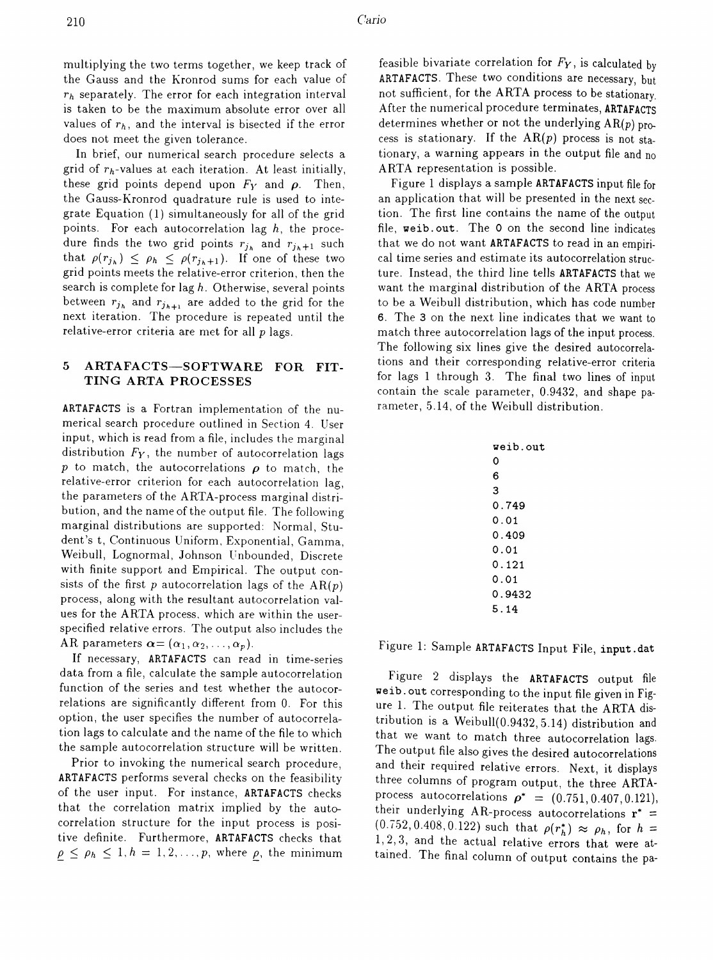multiplying the two terms together, we keep track of the Gauss and the Kronrod sums for each value of *'h* separately. The error for each integration interval is taken to be the maximum absolute error over all values of  $r_h$ , and the interval is bisected if the error does not meet the given tolerance.

In brief, our numerical search procedure selects a grid of  $r_h$ -values at each iteration. At least initially, these grid points depend upon  $F_Y$  and  $\rho$ . Then, the Gauss-Kronrod quadrature rule is used to integrate Equation (1) simultaneously for all of the grid points. For each autocorrelation lag  $h$ , the procedure finds the two grid points  $r_{j_h}$  and  $r_{j_h+1}$  such that  $\rho(r_{j_h}) \leq \rho_h \leq \rho(r_{j_h+1})$ . If one of these two grid points meets the relative-error criterion, then the search is complete for lag *h.* Otherwise, several points between  $r_{j_h}$  and  $r_{j_{h+1}}$  are added to the grid for the next iteration. The procedure is repeated until the relative-error criteria are met for all *p* lags.

### 5 ARTAFACTS-SOFTWARE FOR FIT-TING ARTA PROCESSES

ARTAFACTS is a Fortran implementation of the numerical search procedure outlined in Section 4. User input, which is read from a file, includes the marginal distribution  $F_Y$ , the number of autocorrelation lags  $p$  to match, the autocorrelations  $\rho$  to match, the relative-error criterion for each autocorrelation lag, the parameters of the ARTA-process marginal distribution, and the name of the output file. The following marginal distributions are supported: Normal, Student's t, Continuous Uniform, Exponential, Gamma, Weibull, Lognormal, Johnson Unbounded, Discrete with finite support and Empirical. The output consists of the first p autocorrelation lags of the  $AR(p)$ process, along with the resultant autocorrelation values for the ARTA process, which are within the userspecified relative errors. The output also includes the AR parameters  $\boldsymbol{\alpha} = (\alpha_1, \alpha_2, \ldots, \alpha_p).$ 

If necessary, ARTAFACTS can read in time-series data from a file, calculate the sample autocorrelation function of the series and test whether the autocorrelations are significantly different from O. For this option, the user specifies the number of autocorrelation lags to calculate and the name of the file to which the sample autocorrelation structure will be \vritten.

Prior to invoking the numerical search procedure, ARTAFACTS performs several checks on the feasibility of the user input. For instance, ARTAFACTS checks that the correlation matrix implied by the autocorrelation structure for the input process is positive definite. Furthermore, ARTAFACTS checks that  $\rho \leq \rho_h \leq 1, h = 1, 2, \ldots, p$ , where  $\rho$ , the minimum feasible bivariate correlation for  $F_Y$ , is calculated by ARTAFACTS. These two conditions are necessary, but not sufficient, for the ARTA process to be stationary. After the numerical procedure terminates, ARTAFACTS determines whether or not the underlying  $AR(p)$  process is stationary. If the  $AR(p)$  process is not stationary, a warning appears in the output file and no ARTA representation is possible.

Figure 1 displays a sample ARTAFACTS input file for an application that will be presented in the next section. The first line contains the name of the output file, weib. out. The 0 on the second line indicates that we do not want ARTAFACTS to read in an empirical time series and estimate its autocorrelation structure. Instead, the third line tells ARTAFACTS that we want the marginal distribution of the ARTA process to be a Weibull distribution, which has code number 6. The 3 on the next line indicates that we want to match three autocorrelation lags of the input process. The following six lines give the desired autocorrelations and their corresponding relative-error criteria for lags 1 through 3. The final two lines of input contain the scale parameter, 0.9432, and shape parameter, 5.14, of the Weibull distribution.

| weib.out |
|----------|
| 0        |
| 6        |
| 3        |
| 0.749    |
| 0.01     |
| 0.409    |
| 0.01     |
| 0.121    |
| 0.01     |
| 0.9432   |
| 5.14     |
|          |

Figure 1: Sample ARTAFACTS Input File, input.dat

Figure 2 displays the ARTAFACTS output file weib. out corresponding to the input file given in Figure 1. The output file reiterates that the ARTA distribution is a Weibull(0.9432, 5.14) distribution and that we want to match three autocorrelation lags. The output file also gives the desired autocorrelations and their required relative errors. Next, it displays three columns of program output, the three ARTAprocess autocorrelations  $\rho^* = (0.751, 0.407, 0.121)$ , their underlying AR-process autocorrelations  $\mathbf{r}^*$  =  $(0.752, 0.408, 0.122)$  such that  $\rho(r_h^*) \approx \rho_h$ , for  $h =$ 1,2,3, and the actual relative errors that were attained. The final column of output contains the pa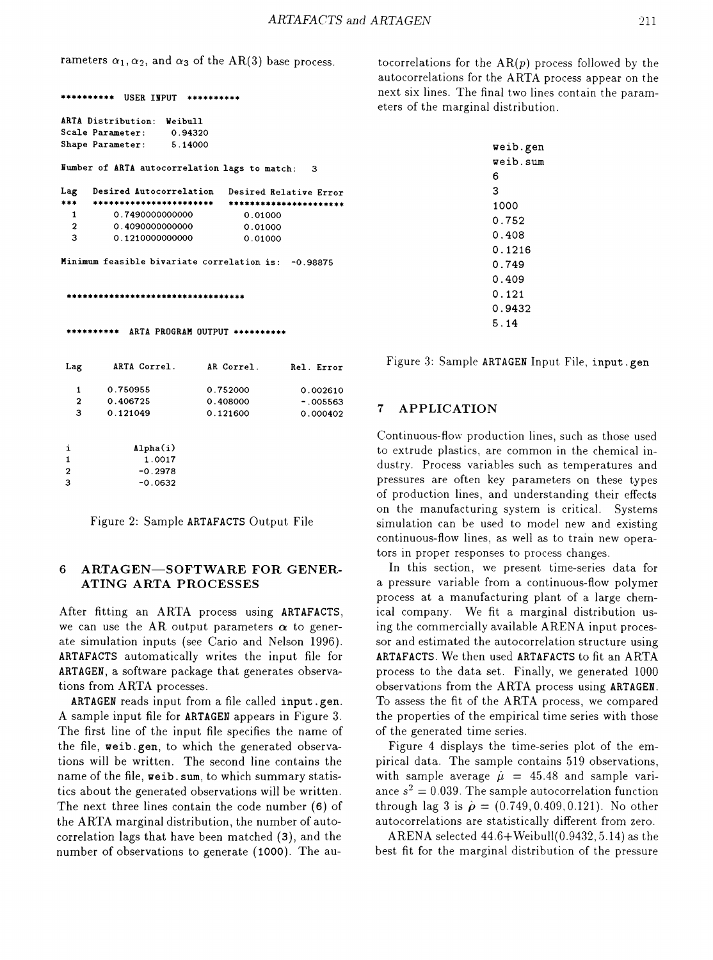rameters  $\alpha_1, \alpha_2$ , and  $\alpha_3$  of the AR(3) base process.

```
********** USER INPUT **********
 ********** ARTA PROGRAM OUTPUT **********
Minimum feasible bivariate correlation is: -0.98875
Humber of ARTA autocorrelation lags to match: 3
 ********************************
                                  0.01000
                                  0.01000
                                  0.01000
                               Desired Relative Error
                               ••••••••••••••••••••••
                   Weibull
                    0.94320
                    5.14000
          0.7490000000000
         0.4090000000000
          0.1210000000000
      Desired Autocorrelation
  ••••••••••••••••••••••• 1
  2
  3
ARTA Distribution:
Scale Parameter:
Shape Parameter:
Lag
•••
Lag ARTA Correl. AR Correl. Rel. Error Figure 3: Sample ARTAGEN Input File, input.gen
  1
  2
  3
        0.750955
        0.406725
        0.121049
                           0.752000
                           0.408000
                           0.121600
                                            0.002610
                                            -005563i
1
2
3
             Alpha(i)
               1.0017
              -0.2978
              -0.0632
```
Figure 2: Sample ARTAFACTS Output File

### 6 ARTAGEN-SOFTWARE FOR GENER-ATING ARTA PROCESSES

After fitting an ARTA process using ARTAFACTS, we can use the AR output parameters  $\alpha$  to generate simulation inputs (see Cario and Nelson 1996). ARTAFACTS automatically writes the input file for ARTAGEN, a software package that generates observations from ARTA processes.

ARTAGEN reads input from a file called input. gen. A sample input file for ARTAGEN appears in Figure 3. The first line of the input file specifies the name of the file, weib. gen, to which the generated observations will be written. The second line contains the name of the file, weib. sum, to which summary statistics about the generated observations will be written. The next three lines contain the code number (6) of the ARTA marginal distribution, the number of autocorrelation lags that have been matched (3), and the number of observations to generate (1000). The autocorrelations for the  $AR(p)$  process followed by the autocorrelations for the ARTA process appear on the next six lines. The final two lines contain the parameters of the marginal distribution.

| weib.gen |
|----------|
| weib.sum |
| 6        |
| 3        |
| 1000     |
| 0.752    |
| 0.408    |
| 0.1216   |
| 0.749    |
| 0.409    |
| 0.121    |
| 0.9432   |
| 5.14     |
|          |

# $_{0.000402}$  7 APPLICATION

Continuous-flo\v production lines, such as those used to extrude plastics, are common in the chemical industry. Process variables such as temperatures and pressures are often key parameters on these types of production lines, and understanding their effects on the manufacturing system is critical. Systems simulation can be used to model new and existing continuous-flow lines, as well as to train new operators in proper responses to process changes.

In this section, we present time-series data for a pressure variable from a continuous-flow polymer process at a manufacturing plant of a large chemical company. We fit a marginal distribution using the commercially available ARENA input processor and estimated the autocorrelation structure using ARTAFACTS. We then used ARTAFACTS to fit an ARTA process to the data set. Finally, we generated 1000 observations from the ARTA process using ARTAGEN. To assess the fit of the ARTA process, we compared the properties of the empirical time series with those of the generated time series.

Figure 4 displays the time-series plot of the empirical data. The sample contains 519 observations, with sample average  $\hat{\mu} = 45.48$  and sample variance  $s^2 = 0.039$ . The sample autocorrelation function through lag 3 is  $\hat{\rho} = (0.749, 0.409, 0.121)$ . No other autocorrelations are statistically different from zero.

ARENA selected 44.6+Weibull(0.9432, 5.14) as the best fit for the marginal distribution of the pressure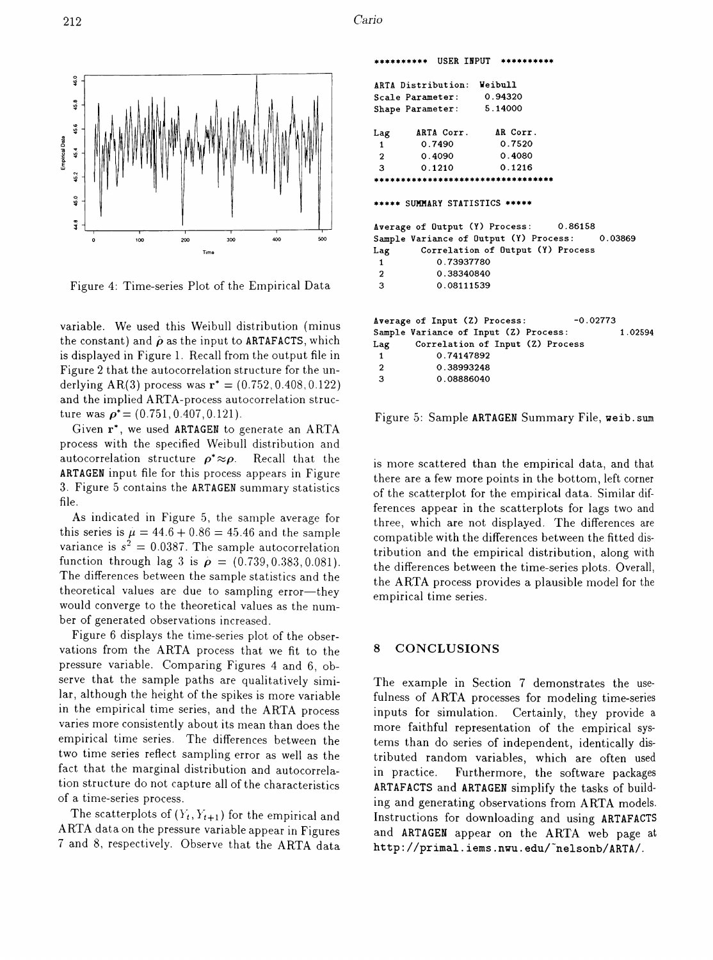$\overline{1}$ 



Figure 4: Time-series Plot of the Empirical Data

variable. We used this Weibull distribution (minus the constant) and  $\hat{\rho}$  as the input to ARTAFACTS, which is displayed in Figure 1. Recall from the output file in Figure 2 that the autocorrelation structure for the underlying AR(3) process was  $r^* = (0.752, 0.408, 0.122)$ and the implied ARTA-process autocorrelation structure was  $\rho^* = (0.751, 0.407, 0.121)$ .

Given r\*, we used ARTAGEN to generate an ARTA process with the specified Weibull distribution and autocorrelation structure  $\rho^* \approx \rho$ . Recall that the ARTAGEN input file for this process appears in Figure 3. Figure 5 contains the ARTAGEN summary statistics file.

As indicated in Figure 5, the sample average for this series is  $\mu = 44.6 + 0.86 = 45.46$  and the sample variance is  $s^2 = 0.0387$ . The sample autocorrelation function through lag 3 is  $\rho = (0.739, 0.383, 0.081)$ . The differences between the sample statistics and the theoretical values are due to sampling error-they would converge to the theoretical values as the number of generated observations increased.

Figure 6 displays the time-series plot of the observations from the ARTA process that we fit to the pressure variable. Comparing Figures 4 and 6, observe that the sample paths are qualitatively similar, although the height of the spikes is more variable in the empirical time series, and the ARTA process varies more consistently about its mean than does the empirical time series. The differences between the two time series reflect sampling error as well as the fact that the marginal distribution and autocorrelation structure do not capture all of the characteristics of a time-series process.

The scatterplots of  $(Y_t, Y_{t+1})$  for the empirical and ARTA data on the pressure variable appear in Figures 7 and 8, respectively. Observe that the ARTA data

|                        |                            |            |            | ********** USER INPUT **********               |  |         |
|------------------------|----------------------------|------------|------------|------------------------------------------------|--|---------|
|                        | ARTA Distribution: Weibull |            |            |                                                |  |         |
|                        | Scale Parameter: 0.94320   |            |            |                                                |  |         |
|                        | Shape Parameter: 5.14000   |            |            |                                                |  |         |
|                        |                            |            |            | Lag ARTA Corr. AR Corr.                        |  |         |
|                        | 1 0.7490                   |            |            | 0.7520                                         |  |         |
|                        |                            |            |            | 2 0.4090 0.4080                                |  |         |
|                        |                            |            |            | 3 0.1210 0.1216                                |  |         |
|                        |                            |            |            | **********************************             |  |         |
|                        |                            |            |            | ***** SUMMARY STATISTICS *****                 |  |         |
|                        |                            |            |            | Average of Output (Y) Process: 0.86158         |  |         |
|                        |                            |            |            | Sample Variance of Output (Y) Process: 0.03869 |  |         |
|                        |                            |            |            | Lag Correlation of Output (Y) Process          |  |         |
| $1 \quad \blacksquare$ |                            |            | 0.73937780 |                                                |  |         |
| $\overline{2}$         |                            | 0.38340840 |            |                                                |  |         |
| 3                      |                            | 0.08111539 |            |                                                |  |         |
|                        |                            |            |            | Average of Input (Z) Process: -0.02773         |  |         |
|                        |                            |            |            | Sample Variance of Input (Z) Process:          |  | 1.02594 |
|                        |                            |            |            | Lag Correlation of Input (Z) Process           |  |         |
| $\mathbf{1}$           |                            | 0.74147892 |            |                                                |  |         |
| $\overline{2}$         |                            | 0.38993248 |            |                                                |  |         |
| 3                      |                            | 0.08886040 |            |                                                |  |         |
|                        |                            |            |            |                                                |  |         |

Figure 5: Sample ARTAGEN Summary File, weib. sum

is more scattered than the empirical data, and that there are a few more points in the bottom, left corner of the scatterplot for the empirical data. Similar differences appear in the scatterplots for lags two and three, which are not displayed. The differences are compatible with the differences between the fitted distribution and the empirical distribution, along with the differences between the time-series plots. Overall, the ARTA process provides a plausible model for the empirical time series.

### 8 CONCLUSIONS

The example in Section 7 demonstrates the usefulness of ARTA processes for modeling time-series inputs for simulation. Certainly, they provide a more faithful representation of the empirical systems than do series of independent, identically distributed random variables, which are often used in practice. Furthermore, the software packages ARTAFACTS and ARTAGEN simplify the tasks of building and generating observations from ARTA models. Instructions for downloading and using ARTAFACTS and ARTAGEN appear on the ARTA web page at http://primal.iems.nwu.edu/~nelsonb/ARTA/.